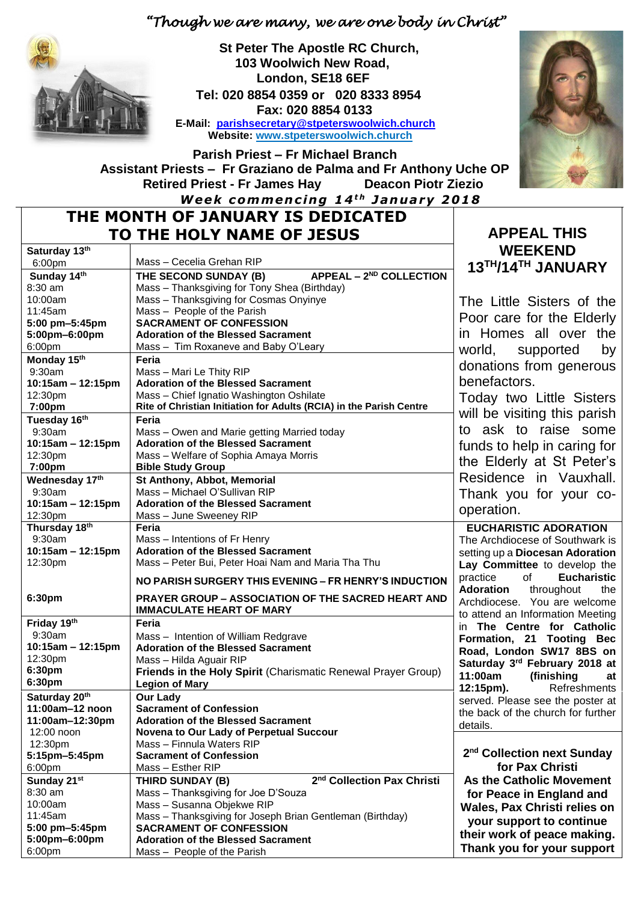## *"Though we are many, we are one body in Christ"*



 **St Peter The Apostle RC Church, 103 Woolwich New Road, London, SE18 6EF Tel: 020 8854 0359 or 020 8333 8954 Fax: 020 8854 0133 E-Mail: [parishsecretary@stpeterswoolwich.church](mailto:parishsecretary@stpeterswoolwich.church) Website: [www.stpeterswoolwich.church](http://www.stpeterswoolwich.church/)**



 **Parish Priest – Fr Michael Branch Assistant Priests – Fr Graziano de Palma and Fr Anthony Uche OP Retired Priest - Fr James Hay Deacon Piotr Ziezio** *Week commencing 14<sup>th</sup> January 2018* 

# **THE MONTH OF JANUARY IS DEDICATED TO THE HOLY NAME OF JESUS APPEAL THIS**

| Saturday 13th       |                                                                     | <b>WEEKEND</b>                                                        |
|---------------------|---------------------------------------------------------------------|-----------------------------------------------------------------------|
| 6:00pm              | Mass - Cecelia Grehan RIP                                           | 13TH/14TH JANUARY                                                     |
| Sunday 14th         | APPEAL - 2 <sup>ND</sup> COLLECTION<br>THE SECOND SUNDAY (B)        |                                                                       |
| 8:30 am             | Mass - Thanksgiving for Tony Shea (Birthday)                        |                                                                       |
| 10:00am             | Mass - Thanksgiving for Cosmas Onyinye                              | The Little Sisters of the                                             |
| 11:45am             | Mass - People of the Parish                                         |                                                                       |
| 5:00 pm-5:45pm      | <b>SACRAMENT OF CONFESSION</b>                                      | Poor care for the Elderly                                             |
| 5:00pm-6:00pm       | <b>Adoration of the Blessed Sacrament</b>                           | in Homes all over the                                                 |
| 6:00pm              | Mass - Tim Roxaneve and Baby O'Leary                                | world,<br>supported<br>by                                             |
| Monday 15th         | Feria                                                               |                                                                       |
| 9:30am              | Mass - Mari Le Thity RIP                                            | donations from generous                                               |
| 10:15am - 12:15pm   | <b>Adoration of the Blessed Sacrament</b>                           | benefactors.                                                          |
| 12:30pm             | Mass - Chief Ignatio Washington Oshilate                            | Today two Little Sisters                                              |
| 7:00pm              | Rite of Christian Initiation for Adults (RCIA) in the Parish Centre |                                                                       |
| Tuesday 16th        | Feria                                                               | will be visiting this parish                                          |
| 9:30am              | Mass - Owen and Marie getting Married today                         | to ask to raise some                                                  |
| $10:15am - 12:15pm$ | <b>Adoration of the Blessed Sacrament</b>                           | funds to help in caring for                                           |
| 12:30pm             | Mass - Welfare of Sophia Amaya Morris                               |                                                                       |
| 7:00pm              | <b>Bible Study Group</b>                                            | the Elderly at St Peter's                                             |
| Wednesday 17th      | St Anthony, Abbot, Memorial                                         | Residence in Vauxhall.                                                |
| 9:30am              | Mass - Michael O'Sullivan RIP                                       | Thank you for your co-                                                |
| 10:15am - 12:15pm   | <b>Adoration of the Blessed Sacrament</b>                           | operation.                                                            |
| 12:30pm             | Mass - June Sweeney RIP                                             |                                                                       |
| Thursday 18th       | Feria                                                               | <b>EUCHARISTIC ADORATION</b>                                          |
| 9:30am              | Mass - Intentions of Fr Henry                                       | The Archdiocese of Southwark is                                       |
| 10:15am - 12:15pm   | <b>Adoration of the Blessed Sacrament</b>                           | setting up a Diocesan Adoration                                       |
| 12:30pm             | Mass - Peter Bui, Peter Hoai Nam and Maria Tha Thu                  | Lay Committee to develop the                                          |
|                     | NO PARISH SURGERY THIS EVENING - FR HENRY'S INDUCTION               | of the control<br>practice<br><b>Eucharistic</b>                      |
| 6:30pm              | <b>PRAYER GROUP - ASSOCIATION OF THE SACRED HEART AND</b>           | <b>Adoration</b><br>throughout<br>the<br>Archdiocese. You are welcome |
|                     | <b>IMMACULATE HEART OF MARY</b>                                     | to attend an Information Meeting                                      |
| Friday 19th         | Feria                                                               | in The Centre for Catholic                                            |
| 9:30am              | Mass - Intention of William Redgrave                                | Formation, 21 Tooting Bec                                             |
| 10:15am - 12:15pm   | <b>Adoration of the Blessed Sacrament</b>                           |                                                                       |
| 12:30pm             | Mass - Hilda Aguair RIP                                             | Road, London SW17 8BS on                                              |
| 6:30pm              | Friends in the Holy Spirit (Charismatic Renewal Prayer Group)       | Saturday 3rd February 2018 at<br>11:00am                              |
| 6:30pm              | <b>Legion of Mary</b>                                               | (finishing<br>at                                                      |
| Saturday 20th       | <b>Our Lady</b>                                                     | 12:15pm).<br>Refreshments                                             |
| 11:00am-12 noon     | <b>Sacrament of Confession</b>                                      | served. Please see the poster at                                      |
| 11:00am-12:30pm     | <b>Adoration of the Blessed Sacrament</b>                           | the back of the church for further                                    |
| 12:00 noon          | Novena to Our Lady of Perpetual Succour                             | details.                                                              |
| 12:30pm             | Mass - Finnula Waters RIP                                           |                                                                       |
| 5:15pm-5:45pm       | <b>Sacrament of Confession</b>                                      | 2 <sup>nd</sup> Collection next Sunday                                |
| 6:00pm              | Mass - Esther RIP                                                   | for Pax Christi                                                       |
| Sunday 21st         | 2 <sup>nd</sup> Collection Pax Christi<br>THIRD SUNDAY (B)          | <b>As the Catholic Movement</b>                                       |
| 8:30 am             | Mass - Thanksgiving for Joe D'Souza                                 | for Peace in England and                                              |
| 10:00am             | Mass - Susanna Objekwe RIP                                          | Wales, Pax Christi relies on                                          |
| 11:45am             | Mass - Thanksgiving for Joseph Brian Gentleman (Birthday)           |                                                                       |
| 5:00 pm-5:45pm      | <b>SACRAMENT OF CONFESSION</b>                                      | your support to continue                                              |
| 5:00pm-6:00pm       | <b>Adoration of the Blessed Sacrament</b>                           | their work of peace making.                                           |
| 6:00pm              | Mass - People of the Parish                                         | Thank you for your support                                            |